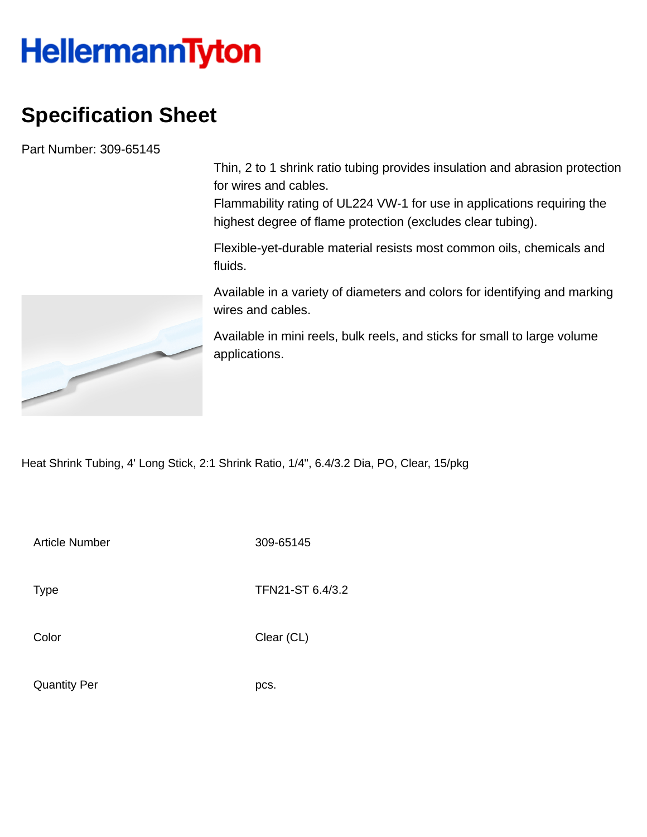## **HellermannTyton**

## **Specification Sheet**

Part Number: 309-65145

Thin, 2 to 1 shrink ratio tubing provides insulation and abrasion protection for wires and cables.

Flammability rating of UL224 VW-1 for use in applications requiring the highest degree of flame protection (excludes clear tubing).

Flexible-yet-durable material resists most common oils, chemicals and fluids.

Available in a variety of diameters and colors for identifying and marking wires and cables.

Available in mini reels, bulk reels, and sticks for small to large volume applications.

Heat Shrink Tubing, 4' Long Stick, 2:1 Shrink Ratio, 1/4", 6.4/3.2 Dia, PO, Clear, 15/pkg

Article Number 309-65145

Type **TFN21-ST 6.4/3.2** 

Color Clear (CL)

Quantity Per pcs.

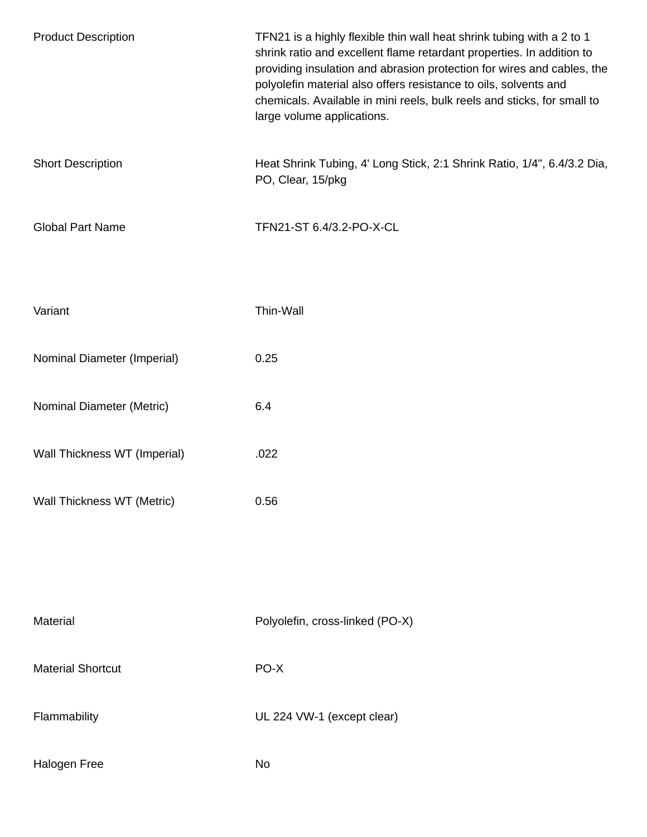| <b>Product Description</b>   | TFN21 is a highly flexible thin wall heat shrink tubing with a 2 to 1<br>shrink ratio and excellent flame retardant properties. In addition to<br>providing insulation and abrasion protection for wires and cables, the<br>polyolefin material also offers resistance to oils, solvents and<br>chemicals. Available in mini reels, bulk reels and sticks, for small to<br>large volume applications. |  |  |
|------------------------------|-------------------------------------------------------------------------------------------------------------------------------------------------------------------------------------------------------------------------------------------------------------------------------------------------------------------------------------------------------------------------------------------------------|--|--|
| <b>Short Description</b>     | Heat Shrink Tubing, 4' Long Stick, 2:1 Shrink Ratio, 1/4", 6.4/3.2 Dia,<br>PO, Clear, 15/pkg                                                                                                                                                                                                                                                                                                          |  |  |
| <b>Global Part Name</b>      | TFN21-ST 6.4/3.2-PO-X-CL                                                                                                                                                                                                                                                                                                                                                                              |  |  |
| Variant                      | Thin-Wall                                                                                                                                                                                                                                                                                                                                                                                             |  |  |
| Nominal Diameter (Imperial)  | 0.25                                                                                                                                                                                                                                                                                                                                                                                                  |  |  |
| Nominal Diameter (Metric)    | 6.4                                                                                                                                                                                                                                                                                                                                                                                                   |  |  |
| Wall Thickness WT (Imperial) | .022                                                                                                                                                                                                                                                                                                                                                                                                  |  |  |
| Wall Thickness WT (Metric)   | 0.56                                                                                                                                                                                                                                                                                                                                                                                                  |  |  |
|                              |                                                                                                                                                                                                                                                                                                                                                                                                       |  |  |
| Material                     | Polyolefin, cross-linked (PO-X)                                                                                                                                                                                                                                                                                                                                                                       |  |  |
| <b>Material Shortcut</b>     | PO-X                                                                                                                                                                                                                                                                                                                                                                                                  |  |  |
| Flammability                 | UL 224 VW-1 (except clear)                                                                                                                                                                                                                                                                                                                                                                            |  |  |
| Halogen Free                 | No                                                                                                                                                                                                                                                                                                                                                                                                    |  |  |